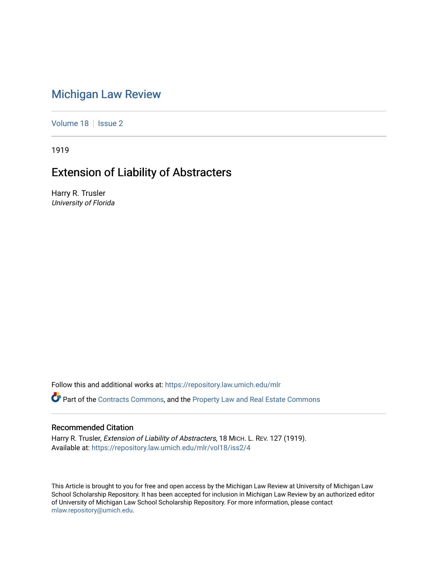## [Michigan Law Review](https://repository.law.umich.edu/mlr)

[Volume 18](https://repository.law.umich.edu/mlr/vol18) | [Issue 2](https://repository.law.umich.edu/mlr/vol18/iss2)

1919

## Extension of Liability of Abstracters

Harry R. Trusler University of Florida

Follow this and additional works at: [https://repository.law.umich.edu/mlr](https://repository.law.umich.edu/mlr?utm_source=repository.law.umich.edu%2Fmlr%2Fvol18%2Fiss2%2F4&utm_medium=PDF&utm_campaign=PDFCoverPages) 

Part of the [Contracts Commons](http://network.bepress.com/hgg/discipline/591?utm_source=repository.law.umich.edu%2Fmlr%2Fvol18%2Fiss2%2F4&utm_medium=PDF&utm_campaign=PDFCoverPages), and the [Property Law and Real Estate Commons](http://network.bepress.com/hgg/discipline/897?utm_source=repository.law.umich.edu%2Fmlr%2Fvol18%2Fiss2%2F4&utm_medium=PDF&utm_campaign=PDFCoverPages) 

## Recommended Citation

Harry R. Trusler, Extension of Liability of Abstracters, 18 MICH. L. REV. 127 (1919). Available at: [https://repository.law.umich.edu/mlr/vol18/iss2/4](https://repository.law.umich.edu/mlr/vol18/iss2/4?utm_source=repository.law.umich.edu%2Fmlr%2Fvol18%2Fiss2%2F4&utm_medium=PDF&utm_campaign=PDFCoverPages)

This Article is brought to you for free and open access by the Michigan Law Review at University of Michigan Law School Scholarship Repository. It has been accepted for inclusion in Michigan Law Review by an authorized editor of University of Michigan Law School Scholarship Repository. For more information, please contact [mlaw.repository@umich.edu.](mailto:mlaw.repository@umich.edu)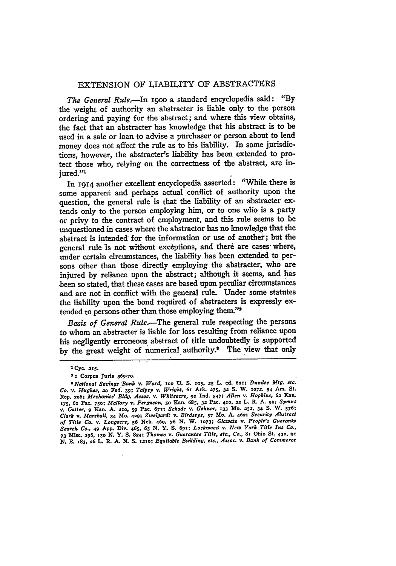## EXTENSION OF LIABILITY OF ABSTRACTERS

*The General Rule.-In* **i90o** a standard encyclopedia said: **"By** the weight of authority an abstracter is liable only to the person ordering and paying for the abstract; and where this view obtains, the fact that an abstracter has knowledge that his abstract is to be used in a sale or loan to advise a purchaser or person about to lend money does not affect the rule as to his liability. In some jurisdictions, however, the abstracter's liability has been extended to protect those who, relying on the correctness of the abstract, are injured."<sup>1</sup>

In **1914** another excellent encyclopedia asserted: "While there is some apparent and perhaps actual conflict of authority upon the question, the general rule is that the liability of an abstracter extends only to the person employimg him, or to one who is a party or privy to the contract of employment, and this rule seems to be unquestioned in cases where the abstractor has no knowledge that the abstract is intended for the information or use of another; but the general rule is not without exceptions, and there are cases where, under certain circumstances, the liability has been extended to persons other than those directly employing the abstracter, who are injured **by** reliance upon the abstract; although it seems, and has been so stated, that these cases are based upon peculiar circumstances and are not in conflict with the general rule. Under some statutes the liability upon the bond required of abstracters is expressly extended to persons other than those employing them."'

*Basis of General Rule.*-The general rule respecting the persons to whom an abstracter is liable for loss resulting from reliance upon his negligently erroneous abstract of title undoubtedly is supported by the great weight of numerical authority.<sup>8</sup> The view that only

**I Cyc. 21**

**<sup>2</sup> Corpus Juris 369-70.**

*<sup>&#</sup>x27;National Savings 'Bank v. Ward,* **too U. S. xqS, as r- ed. 6"2z;** *Dundee Mtg. etc. Co. v. HugheZ,* **20 Fed: 39;** *Talpey v. Wright,* **6z Ark. 275, 32 S. W. 1072. S4 Am. St. Rep. 2o6;** *Mechanics' Bldg. Assoc. v. Whiteacre,* **92 Ind. 547;** *Allen v. Hopkins,* **62 Kan.** *175, 6z* **Pac. 750;** *Mallory* **v.** *Ferguson,* **so Kan. 685, 32 Pac. 410. 22 L. I. A. 99; Symns** *v. Cutter,* **9 Kan. A. 2,o, 59 Pac. 67t;** *Schade v. Gehner,* **733 Mo. 252, 34 S. W.** *576; Clark v. Marshall,* **34 Mo. 429;** *Zweigardt v. Birdseye,* **57 Mo. A. 462;** *Security Abstract* of Title Co. v. Longacre, 56 Neb. 469, 76 N. W. 1073; Glawatz v. People's Guaranty<br>Search Co., 49 App. Div. 465, 63 N. Y. S. 691; Lockwood v. New York Title Ins Co., **73 Misc. 296, 130 N. Y. S. 824;** *Thomas v. Guarantee Title, etc., Co.,* **81 Ohio St. 432, 91 K. E. x83, z6 L. R. A. N. S.** *z21o; Equitable Building, etc., Assoc. v. Bank of Commerce*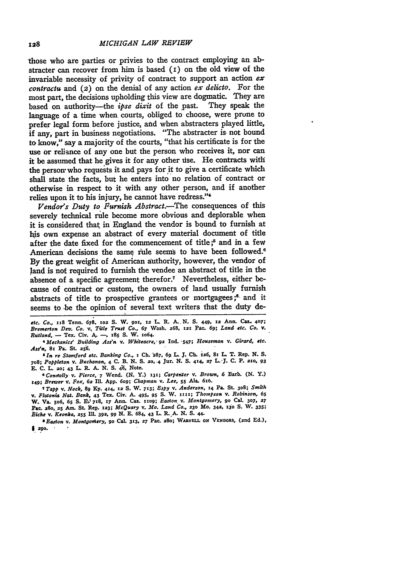'those who are parties or privies to the contract employing an abstracter can recover from him is based  $(1)$  on the old view of the invariable necessity of privity of contract to support an action  $ex$ contract% and **(2)** on the denial of any action ex *delicto.* For the most part, the decisions upholding this view are dogmatic. They are based on authority-the *ipse dixit* of the past. They speak the language of a time when courts, obliged to choose, were prone to prefer legal form before justice, and when abstracters played little, if any, part in business negotiations. "The abstracter is not bound to know," say a majority of the courts, "that his certificate is for the use or reliance of any one but the person who receives it, nor can it be assumed that he gives it for any other tise. He contracts with the person who requests it and pays for it to give a certificate which shall state the facts, but he enters into no relation of contract or otherwise in respect to it with any other person, and if another relies upon it to his injury, he cannot have redress."'

*Vendor's Duty to Furnish Abstract.-The* consequences of this severely technical rule become more obvious and deplorable when it is considered that in England the vendor is bound to furnish at his own expense an abstract of every material document of title after the date fixed for the commencement of title;<sup>5</sup> and in a few American decisions the same rule seems to have been followed.<sup>6</sup> **By** the great weight of American authority, however, the vendor of land is not required to furnish the vendee an abstract of title in the absence of a specific agreement therefor.<sup>7</sup> Nevertheless, either because of contract or custom, the owners of land usually furnish abstracts of title to prospective grantees or mortgagees;<sup>8</sup> and it seems to **.be** the opinion of several text writers that the duty de-

*etc. Co.,* **:i8 Tenn. 678. 102 S. W. 9o,** 12 **L"** R. *A.. N.* **S. 449,** 12 **Ann. Cas. 407;** *Bremerton Dev. Co. v, Title Trust Co.,* **67 Wash. 268, 121 Pac. 69;** *Land etc. Co. v. Rutland,* **- Tex. Civ. A. -, 18S S. W. zo64.**

*'Mechanics' Building Ass'n* **v.** *Whiteacre,-* **92 Ind. S47;** *Houseman* **v.** *Girard, etc. Adn, 8%* **Pa. St.** *2j6.*

*3In re Stamford etc. Banking Co.,* **x Ch. 587, 6g L J. Ch. i6, 8z L. T. Rep. N. S.** *708; Poppleton v. Buchanan,* **4 C.** B. **N. S. 20,** 4 **Jur. N. S. 414, 27** L. **J. C.** P. **210, 93 E. C. L. 20; 43 L I. A. N. S. 46, Note.**

<sup>6</sup> Constolly v. Pierce, 7 Wend. (N. Y.) 131; Carpenter v. Brown, 6 Barb. (N. Y.) 149; Brewer v. Fox, 62 Ill. App. 609; Chapman v. Lee, 55 Ala. 616.

*I* **Tapp v.** *Nock,* **89** *Ky.* **414, IZ S.** W. **713;** *Espy v. Anderson,* **14** *Pa.* St. **308;** *Smith* v. Flatonia Nat. Bank, 43 Tex. Civ. A. 495, 95 S. W. 1111; Thompson v. Robinson, 65<br>W. Va. 506, 65 S. E. 718, 17 Ann. Cas. 1109; Easton v. Montgomery, 90 Cal. 307, 27 **Pac. ago,** 25 **Am. St. Rep. 123;** *McQuary v. Mo. Land Co., 230* **Mo. 34., I3O S.** W. **335;** *Eiche v. Keonka,* **2S5 Ill. 392, 99 N. E. 684,** 43 **L. R..A. N. S. 44.**

*sEaston v. Montgothery,* **go Cal. 313, 27 PaC. 280; WARvar.. ON VENDORS, (2nd Ed.),** *1* **290.**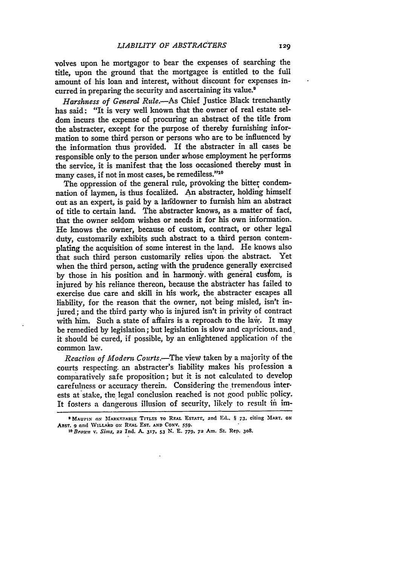volves upon he mortgagor to bear the expenses of searching the title, upon the ground that the mortgagee is entitled to the full amount of his loan and interest, without discount for expenses incurred in preparing the security and ascertaining its value.<sup>9</sup>

*Harshness of General Rule.-As* Chief Justice Black trenchantly has said: "It is very well known that the owner of real estate seldom incurs the expense of procuring an abstract of the title from the abstracter, except for the purpose of thereby furnishing information to some third person or persons who are to be influenced **by** the information thus provided. If the abstracter in all cases be responsible only to the person under whose employment he performs the service, it is manifest that the loss occasioned thereby must in many cases, if not in most cases, be remediless."<sup>10</sup>

The oppression of the general rule, provoking the bitter condemnation of laymen, is thus focalized. An abstracter, holding himself out as an expert, is paid by a landowner to furnish him an abstract of title to certain land. The abstracter knows, as a matter of fact, that the owner seldom wishes or needs it for his own information. He knows the owner, because of custom, contract, or other legal duty, customarily exhibits such abstract to a third person contemplating the acquisition of some interest in the land. He knows also that such third person customarily relies upon. the abstract. Yet when the third person, acting with the prudence generally exercised by those in his position and in harmony. with general cusiom, is injured by his reliance thereon, because the abstracter has failed to exercise due care and skill in his work, the abstracter escapes all liability, for the reason that the owner, not being misled, isn't injured; and the third party who is injured isn't in privity of contract with him. Such a state of affairs is a reproach to the law. It may be remedied by legislation; but legislation is slow and capricious. and. it should be cured, if possible, by an enlightened application of the common law.

*Reaction of Modern Courts.-The* view taken by a majority of the courts respecting. an abstracter's liability makes his profession a comparatively safe proposition; but it is not calculated to develop carefulness or accuracy therein. Considering the tremendous interests at stake, the legal conclusion reached is not good public policy. It fosters a dangerous illusion of security, likely to result in im-

**I MAUPIN ON MARnTABLE TITLES To** RFAL **ESTATr, 2nd** Ed.. i **73.** citing MART. **ON** ABST. 9 and WILLARD ON REAL EST. AND CONV. 559.

*<sup>10</sup>* **Brown v. Sis, 22 Ind. A. 37, 53 N. E. 779,** *72* **Am. St.** Rep. **3o8.**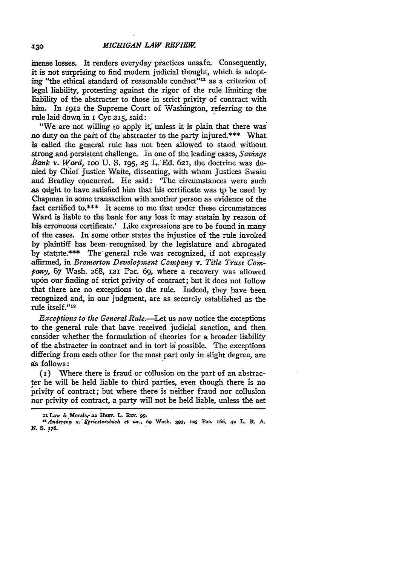mense losses. It renders everyday piactices unsafe. Consequently, it is not surprising to find modem judicial thought, which is adopting "the ethical standard of reasonable conduct"<sup>11</sup> as a criterion of legal liability, protesting against the rigor of the rule limiting the liability of the abstracter to those in strict privity of contract with him. In 1912 the Supreme Court of Washington, referring to the rule laid down in I *Cyc* **215,** said:

"We are not willing to apply it, unless it is plain that there was no duty on the part of the abstracter to the party injured.\*\*\* What is called the general rule has not been allowed to stand without strong and persistent challenge. In one of the leading cases, *Savinas .Bank v. Wlard, ioo* U. S. **195, 25** L. Ed. *621,* the doctrine was denied by Chief Justice Waite, dissenting, with whom Justices Swain and Bradley concurred. He said: 'The circumstances were such as odght to have satisfied him that his certificate was to be used by Chapman in some transaction with another person as evidence of the fact certified to.\*\*\* It seems to me that under these circumstances Ward is liable to the bank for any loss it may sustain by reason of his erroneous certificate.' Like expressions are to be found in many of the cases. In some other states the injustice of the rule invoked by plaintiff has been- recognized by the legislature and abrogated **by** statute.\*\*\* The'general rule was recognized, if not expressly affirmed, in *Bremerton Development Company v. Title Trust Company,* 67 Wash. 268, **121** Pac. 69, where a recovery was allowed upon our finding of strict privity of contract; but it does not follow that there are no exceptions to the rule. Indeed, they have been recognized and, in our judgment, are as securely established as the rule itself."<sup>12</sup>

*Exceptions to the General Rule.--Let* us now notice the exceptions to the general rule that have received judicial sanction, and then consider whether the formulation of theories for a broader liability of the abstracter in contract and in tort is' possible. The exceptions differing from each other for the most part only in slight degree, are as follows:

(i) Where there is fraud or collusion on the part of an abstracter he will be held liable to third parties, even though there is no privity of contract; but where there is neither fraud nor collusion nor privity of contract, a party will not be held liable, unless the act

<sup>11</sup> Law & Morals, 22 HARV. L. REV. 99.

*IsAnde"o.x v. "priesteribach et ui.,* **69 Wash. 393, x25 Pae.** x66, 42 **L. R. A.** *X.* **S. .76.**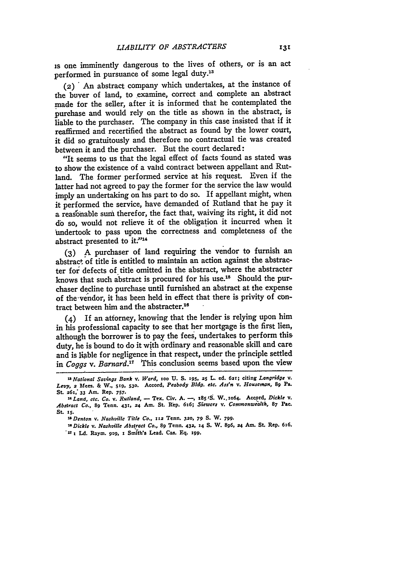is one imminently dangerous to the lives of others, or is an act performed in pursuance of some legal duty.<sup>13</sup>

**(2)** " An abstract company which undertakes, at the instance of the buyer of land, to examine, correct and complete an abstract made for the seller, after it is informed that he contemplated the purchase and would rely on the title as shown in the abstract, is liable to the purchaser. The company in this case insisted that if it reaffirmed and recertified the abstract as found **by** the lower court, it did so gratuitously and therefore no contractual tie was created between it and the purchaser. But the court declared:

"It seems to us that the legal effect of facts found as stated was to show the existence of a valid contract between appellant and Rutland. The former performed service at his request. Even if the latter had not agreed to pay the former for the service the law would imply an undertaking on his part to do so. If appellant might, when it performed the service, have demanded of Rutland that he pay it a reasonable sum therefor, the fact that, waiving its right, it did not do so, would not relieve it of the obligation it incurred when it undertook to pass upon the correctness and completeness of the abstract presented to it."<sup>14</sup>

**(3) A** purchaser of land requiring the vendor to furnish an abstract of title is entitled to maintain an action against the abstracter for defects of title omitted in the abstract, where the abstracter knows that such abstract is procured for his use.15 Should the purchaser decline to purchase until furnished an abstract at the expense of the'vendor, it has been held in effect that there is privity of contract between him and the abstracter.<sup>16</sup>

(4) If an attorney, knowing that the lender is relying upon him in his professional capacity to see that her mortgage is the first lien, although the borrower is to pay the fees, undertakes to perform this duty, he is bound to do it with ordinary and reasonable skill and care and is liable for negligence in that respect, under the principle settled in Coggs *v. Barnard.17* This conclusion seems based upon the view

*U National Satings Bank v. Ward,* **zoo U. S. igS,** 25 **L. ed. 62r; citing** *Langridge v. Levy, a* **Mces. & W., 519, 530. Accord,** *Peabody Bldg. etc. Assn', v. Houseman,* **89 Pa. St. 26t," 33 Am. Rep. 757.**

*<sup>14</sup> Land, etc. Co. v. Rutland,* **- Tex.** Civ. **A.- , z85 S. W..x064. Accord,** *Dickle v. Abstract Co.,* **89 Tenn. 431, 24 Am. St. Rep.** 616; *Siewcrs v. Coammonwealth,* **87 Pac. St. IS.**

<sup>&</sup>lt;sup>15</sup> Denton v. Nashville Title Co., 112 Tenn. 320, 79 S. W. 799.

*<sup>26</sup>Dickle v. Nashville Absract Co.,* **89 Tenn. 432, 14 S.** W. **896, 24 Am. St. Rep. 6z6. 'it** i **Ld. Raym. 909, x Smith's Lead. Cas. Eq. z9g.**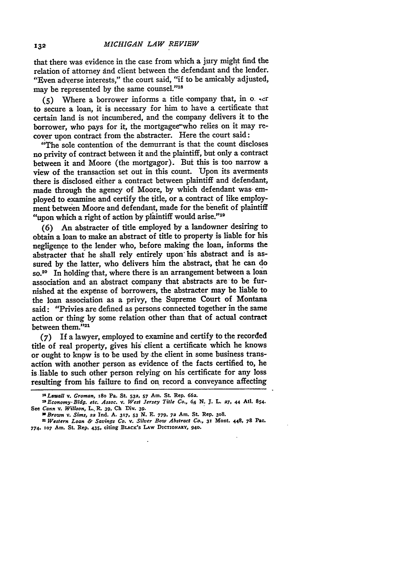that there was evidence in the case from which a jury might find the relation of attorney dnd client between the defendant and the lender. "Even adverse interests," the court said, "if to be amicably adjusted, may be represented by the same counsel."<sup>18</sup>

**(5)** Where a borrower informs a title -company that, in o, er to secure a loan, it is necessary for him to have a certificate that certain land is not incumbered, and the company delivers it to the borrower, who pays for it, the mortgagee who relies on it may recover upon contract from the abstracter. Here the court said:

"The sole contention of the demurrant is that the count discloses no privity of contract between it and the plaintiff, but only a contract between it and Moore (the mortgagor). But this is too narrow a view of the transaction set out in this count. Upon its averments there is disclosed either a contract between plaintiff and defendant, made through the agency of Moore, **by** which defendant was employed to examine and certify the title, or a contract of like employment between Moore and defendant, made for the benefit of plaintiff "upon which a right of action by plaintiff would arise."<sup>19</sup>

**(6)** An abstracter of title employed **by** a landowner desiring to obtain a loan to make an abstract of title to property is liable for his negligence to the lender who, before making the loan, informs the abstracter that he shall rely entirely upon his abstract and is assured **by** the latter, who delivers him the abstract, that he can do so.<sup>20</sup> In holding that, where there is an arrangement between a loan association and an abstract company that abstracts are to be furnished **at** the expense of borrowers, the abstracter may be liable to the loan association as a privy, the Supreme Court of Montana said: "Privies are defined as persons connected together in the same action or thing **by** some relation other than that of actual contract between them."21

**(7) If** a lawyer, employed to examine and certify to the recorded title of real property, gives his client a certificate which he knows or ought to know is to be used **by** the client in some business transaction with another person as evidence of the facts certified to, he is-liable to such other person relying on his certificate for any loss resulting from his failure to find on record a conveyance affecting

*<sup>3</sup>Lawall* **v.** *Groman,* **18o Pa. St. 532, 57 Am. St. Rep. 662.**

*<sup>&</sup>quot;'Economy.Bldg. etc. Assoc. v. West Jersey Title Co.,* **6.4** *N. 3.* **L. 27, 44 At. 854.** *See Cann v. Willson,* **L.. R. 39, Ch Div. 39.**

*Brown v. Sims,* 22 **Ind. A. 3z7, 53 N. E. 779, 72 Am. St. Rep. 308.**

*Western Loan & Savings Co. v. Silver Bow Abstract Co.,* **31 MOnt. 448, 78 Pac. 774. 107 Am. St. Rep. 435. citing BLAcx's LAw DiCTIONARY, 940.**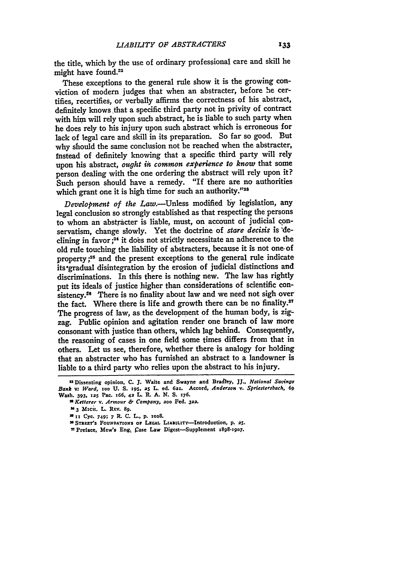the title, which by the use of ordinary professional care and skill he might have found.<sup>22</sup>

These exceptions to the general rule show it is the growing conviction of modem judges that when an abstracter, before he certifies, recertifies, or verbally affirms the correctness of his abstract, definitely knows that a specific third party not in privity of contract with him will rely upon such abstract, he is liable to such party when he does rely to his injury upon such abstract which is erroneous for lack of legal care and skill in its preparation. So far so good. But why should the same conclusion not be reached when the abstracter, !nstead of definitely knowing that a specific third party will rely upon his abstract, *ought in common experience to know* that some person dealing with the one ordering the abstract will rely upon it? Such person should have a remedy. "If there are no authorities which grant one it is high time for such an authority."<sup>28</sup>

*Development of the* Law.-Unless modified by legislation, any legal conclusion so strongly established as that respecting the persons to whom an abstracter is liable, must, on account of judicial conservatism, change slowly. Yet the doctrine of *stare decisis* is declining in favor **;24** it does not strictly necessitate an adherence to the old rule touching the liability of abstracters, because it is not one. of property **;25** and the present exceptions to the general rule indicate its'gradual disintegration **by** the erosion of judicial distinctions and discriminations. In this there is nothing new. The law has rightly put its ideals of justice higher than considerations of scientific consistency.<sup>26</sup> There is no finality about law and we need not sigh over the fact. Where there is life and growth there can be no finality.<sup>27</sup> The progress of law, as the development of the human body, is zigzag. Public opinion and agitation render one branch of law more consonant with justice than others, which lag behind. Consequently, the reasoning of cases in one field some times differs from that in others. Let us see, therefore, whether there is analogy for holding that an abstracter who has furnished an abstract to a landowner is liable to a third party who relies upon the abstract to his injury.

<sup>22</sup> **Dissenting opinion. C. J. Waite and Swayne and Bradiley, JJ.,** *National* **Savings** *Bank v . Ward,* **ioo U. S. 195,** *as* **L. ed. 6as. Accord,** *Anderson v.* **Spriestersbach,** *<sup>69</sup>* **Wash. 393, 125 Pac. z66,** 42 **L R. A. N. S. 176.**

**<sup>U</sup>***Ketterer* **v. Armour & Company, zoo** Fed. **322.**

**H3 Mxcii. L. REv. 89.**

**<sup>&#</sup>x27;** *11* **Cyc. 749;** *7* **R. C.** *L.,* **p. xoo8.**

**<sup>&</sup>quot;Smaarr's Foumn^Ttoms** *ov* **L.A.L LiAsZLITY-Introduction, p. 2S.**

**<sup>&</sup>quot;Preface. Mew's Eng.. \$:ase Law Digcst-Supplement 1898-3907.**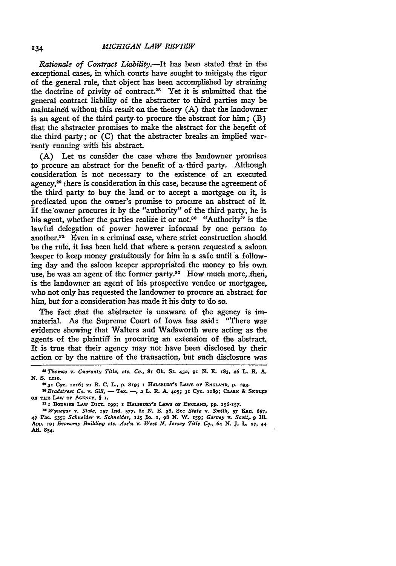*Rationale of Contract Liability. -It* has been stated that in the exceptional cases, in which courts have sought to mitigate the rigor of the general rule, that object has been accomplished by straining the doctrine of privity of contract.<sup>28</sup> Yet it is submitted that the general contract liability of the abstracter to third parties may be maintained without this result on the theory (A) that the landowner is an agent of the third party to procure the abstract for him; (B) that the abstracter promises to make the abstract for the benefit of the third party; or **(C)** that the abstracter breaks an implied warranty running with his abstract.

(A) Let us consider the case where the landowner promises to procure an abstract for the benefit of a third party. Although consideration is not necessary to the existence of an executed agency, 29 there is consideration in this case, because the agreement of the third party to buy the land or to accept a mortgage on it, is predicated upon the owner's promise to procure an abstract of it. If the owner procures it by the "authority" of the third party, he is his agent, whether the parties realize it or not.<sup>80</sup> "Authority" is the lawful delegation of power however informal **by** one person to another.31 Even in a criminal case, where strict construction should be the rule, it has been held that where a person requested a saloon keeper to keep money gratuitously for him in a safe until a following day and the saloon keeper appropriated the money to his own use, he was an agent of the former party.<sup>32</sup> How much more, then, is the landowner an agent of his prospective vendee or mortgagee, who not only has requested the landowner to procure an abstract for him, but for a consideration has made it his duty to do so.

The fact that the abstracter is unaware of the agency is immaterial. As the Supreme Court of Iowa has said: "There was evidence showing that Walters and Wadsworth were acting as the agents of the plaintiff in procuring an extension of the abstract. It is true that their agency may not have been disclosed by their action or **by** the nature of the transaction, but such disclosure was

*Thomas v. Guaranty Title, etc. Co.,* **8z Oh. St.** *432,* **92 N. E. z83,** *26* **L. R. A. N. S. 1zio.**

**<sup>&</sup>quot;3z** Cye. *xz2r6;* 2z *R* **C. L. p. 8i; z HA.sauys LAws or ENGLAND, p.** 193.

*<sup>&#</sup>x27;Bradstreet Co. v.* **Gill, - Tex. -,** 2 **L. R.** *A.* **405;** *31* Cyc. **1z89;** CLARK & **SKYr4S** *ON* **THz LAw or AGKNCY,** § **x.**

 $21$  **z** BOUVIER LAW DICT. 199; *x* HALSBURY'S LAWS OF ENGLAND, pp. 156-157.

*<sup>32</sup>Wynegar v.* **State, I57 Ind. 577,. 62 N. E. 38, See State v.** *Smith,* **S7 Kan. 657, 47 P2e. 535;** *Schneider v. Schneider,* **22S Jo. 1, 98 N. W. z5g;** *Garvey* **v.** *Scott,,* **9 IIl. App. 1g;** Economy *Building etc. Ass'n v. West N. Jersey Title Co., 64* **N.** *J.* **L.** *27,* **44 AtL 854.**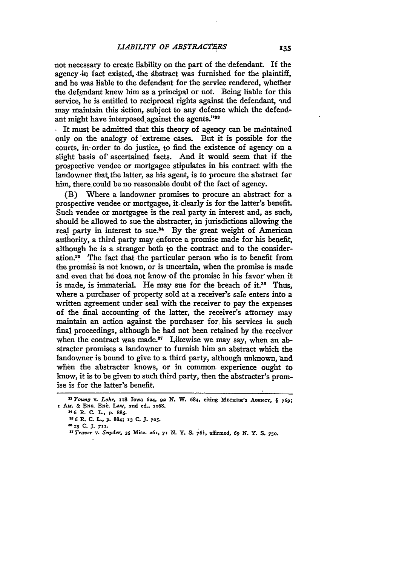not necessary to create liability on the part of the defendant. If the agency in fact existed, the abstract was furnished for the plaintiff, and he was liable to the defendant for the service rendered, whether the defendant knew him as a principal or not. Being liable for this service, he is entitled to reciprocal rights against the defendant, and may maintain this action, subject to any defense which the defendant might have interposed against the agents."<sup>38</sup>

**.** It must be admitted that this theory of agency can be maintained only on the analogy of extreme cases. But it is possible for the courts, in- order to do justice, to find the existence of agency on a slight basis of ascertained facts. And it would seem that if the prospective vendee or mortgagee stipulates in his contract with the landowner that the latter, as his agent, is to procure the abstract for him, there could be no reasonable doubt of the fact of agency.

(B) Where a landowner promises to procure an abstract for a prospective vendee or mortgagee, it clearly is for the latter's benefit. Such vendee or mortgagee is the real party in interest and, as such, should be allowed to sue the abstracter, in jurisdictions allowing the real party in interest to sue.<sup>34</sup> By the great weight of American authority, a third party may enforce a promise made for his benefit, although he is a stranger both to the contract and to the consideration.<sup>35</sup> The fact that the particular person who is to benefit from the promise is not known, or is uncertain, when the promise is made and even that he does not know of the promise in his favor when it is made, is immaterial. He may sue for the breach of it.<sup>36</sup> Thus, where a purchaser of property sold at a receiver's sale enters into a written agreement under seal with the receiver to pay the expenses of the final accounting of the latter, the receiver's attorney may maintain an action against the purchaser for. his services in such final proceedings, although he had not been retained by the receiver when the contract was made. $37$  Likewise we may say, when an abstracter promises a landowner to furnish him an abstract which the landowner is bound to give to a third party, although unknown, 'and when the abstracter knows, or in common experience ought to know, it is to be given to such third party, then the abstracter's promise is for the latter's benefit.

**<sup>33</sup>** *Young v. Lohr,* **r8 Iowa** 624, **92 N.** W. **684, citing MECHEm'S AGENcy, 1 769; z Am. & ENG. EN&. LAw,** *and* **ed., iz68. 3 6 R. C. L., p. 885.**

**<sup>6</sup> R. C. L., p. 884; 13 C. J. 705.**

**<sup>13</sup> C. J. 711.**

**<sup>3</sup>Traver** v. *Snyder,* **35 Misc. 261, 71** *N.* **Y. S.** <sup>7</sup> 61, **affirmed, 69 N.** *Y* **S. S5o.**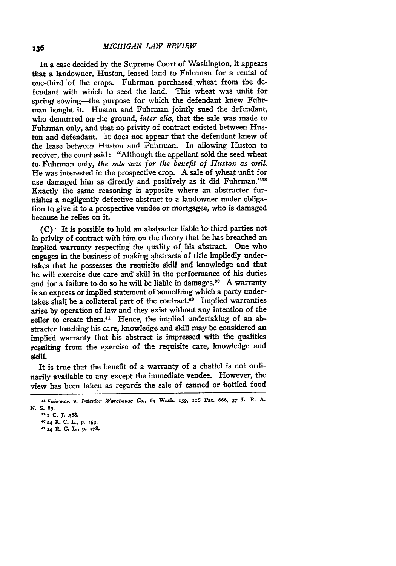In a case decided **by** the Supreme Court of Washington, it appears that a landowner, Huston, leased land to Fuhrman for a rental of one-third'of the crops. Fuhrman purchased.wheat from the defendant with which to seed the land. This wheat was unfit for spring sowing-the purpose for which the defendant knew Fuhrman bought it. Huston and Fuhrman jointly sued the defendant, who demurred on. the ground, *inter alia,* that the sale was made to Fuhrman only, and that no privity of contract existed between Huston and defendant. It does not appear that the defendant knew of the lease between Huston and Fuhrman. In allowing Huston to recover, the court said: "Although the appellant sdld the seed wheat to. Fuhrman only, *the sale was for the benefit of Huston as well.* He was interested in the prospective crop. A sale of wheat unfit for use damaged him as directly and positively as it did Fuhrman."38 Exactly the same reasoning is apposite where an abstracter furnishes a negligently defective abstract to a landowner under obligation **to** give it to a prospective vendee or mortgagee, who is damaged because he relies on it.

**(C) -** It is possible to hold an abstracter liable to third parties not in privity of contract with him on the theory that he has breached an implied warranty respecting the quality of his abstract. One who engages in the business of making abstracts of title impliedly undertakes that he possesses the requisite skill and knowledge and that he will exercise. due care and' skill in the performance of his duties and for a failure to do so he will be liable in damages.<sup>39</sup> A warranty is an express or implied statement of 'something which a party undertakes shall be a collateral part of the contract.<sup>40</sup> Implied warranties arise **by** operation of law and they exist without any intention of the seller to create them.<sup>41</sup> Hence, the implied undertaking of an abstracter touching his care, knowledge and skill may be considered an implied warranty that his abstract is impressed with the qualities resulting from the exercise of the requisite care, knowledge and skill.

It is true that the benefit of a warranty of a chattel is not ordinarily available to any except the immediate vendee. However, the view has been taken as regards the sale of canned or bottled food

*<sup>&</sup>quot;Fuhrman v. Irterior Warelouse Co.,* **64 Wash. x59, zx6 Pac. 666,** *37* **L. R.** *A.* **. S. 89. C.** *j.* **.368.**

**<sup>24</sup> R. C.** *L.,* **p. 1s3.** *z <sup>4</sup>* **R. C. L., p. 178.**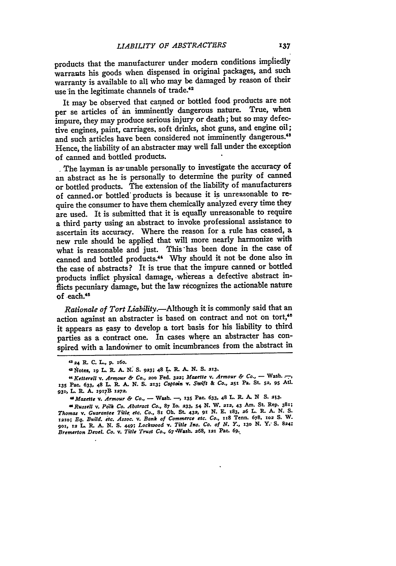products that the manufacturer under modern conditions impliedly warrants his goods when dispensed in original packages, and such warranty is available to all who may be damaged by reason of their use in the legitimate channels of trade.<sup>42</sup>

It may be observed that canned or bottled food products are not per se articles of an imminently dangerous nature. True, when impure, they may produce serious injury or death; but so may defective engines, paint, carriages, soft drinks, shot guns, and engine oil; and such articles have been considered not imminently dangerous.<sup>48</sup> Hence, the liability of an abstracter may well fall under the exception of canned and bottled products.

**,** The layman is as-unable personally to investigate the accuracy of an abstract as he is personally to determine the purity of canned or bottled products. The extension of the liability of manufacturers of canned.or bottled products is because it is unreasonable to require the consumer to have them chemically analyzed every time they are used. It is submitted that it is equally unreasonable to require a third party using an abstract to invoke professional assistance to ascertain its accuracy. Where the reason for a rule has ceased, a new rule should be applied that will more nearly harmonize with what is reasonable and just. This has been done in the case of canned and bottled products.<sup>44</sup> Why should it not be done also in the case of abstracts? It is true that the impure canned or bottled products inflict physical damage, wlereas a defective abstract inflicts pecuniary damage, but the law recognizes the actionable nature of each.45

*Rationale of Tort Liability.-Although* it is commonly said that an action against an abstracter is based on contract and not on tort,<sup>46</sup> it appears as easy to develop a tort basis for his liability to third parties as a contract one. In cases where an abstracter has conspired with a landowner to omit incumbrances from the abstract in

**<sup>4324</sup> R. C.** *L.,* **p. x6o.**

**<sup>433</sup> otes, :9 L. R. A. N. S. 923; 48 L. R. A. N. S.** *2X.*

*<sup>&</sup>quot; Ketterell v. Armour* **&** *Co.,* **200 Fed. 322;** *Maefte v. Armour & Co.,* **- Wash.** =, **135 Pac. 633, 48 L. R. A. N. S. 2x3;** *Capton v. SWift & Co.,* **251** Pa. **St. 52, 95 At].**

**<sup>931-,</sup> L R. A. 1917B** *1272. <sup>4</sup> Marette v. Armour & Co.,* **- Wash. -, 13S Pac. 633, 48 L. R. A.** *N* **S. 213.**

*<sup>&</sup>quot;Russell* **v.** *Po~k* **Co.** *Abstract Co.,* **87 10.** *233,* **54 N. W.** *212,* **43 Am. St. Rep. 381;** *Thomas* **v.** *Guarantee Title etc. Co.,* Si **Oh. St. 432, 91** *N.* **E. 183, 26 L. R. A. N. S. 1210;** *Eq. Build. etc. Assoc.* **v.** *Bank of Commerce etc. Co.,* **:z8 Tenn. 678, 102 S. W. 901, 12 L. R. A. N. S. 449;** *Lockwood v. Title Ins. Co. of N. Y., 130 N. Y.-* **S. 824;** *Bremerton Devel. Co. v. Title Trust Co.,* **67yWash. 268, 121 Pac.** *69.*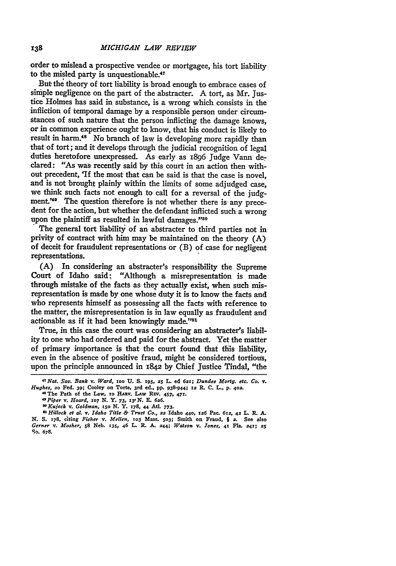order to mislead a prospective vendee or mortgagee, his tort liability to the misled party is unquestionable. $47$ 

But the theory of tort liability is broad enough to embrace cases of simple negligence on the part of the abstracter. A tort, as Mr. Justice Holmes has said in substance, is a wrong which consists in the infliction of temporal damage **by** a responsible person under circumstances of such nature that the person inflicting the damage knows, or in common experience ought to know, that his conduct is likely to result in harm.<sup>48</sup> No branch of law is developing more rapidly than that of tort; and it develops through the judicial recognition of legal duties heretofore unexpressed. As early as 1896 Judge Vann declared: "As was recently said by this court in an action then without precedent, **'If** the most that can be said is that the case is novel, and is not brought plainly within the limits of some adjudged case, we think such facts not enough to call for a reversal of the judgment.<sup>249</sup> The question therefore is not whether there is any precedent for the action, but whether the defendant inflicted such a wrong upon the plaintiff as resulted in lawful damages."<sup>50</sup>

The general tort liability of an abstracter to third parties not in privity of contract with him may be maintained on the theory **(A)** of deceit for fraudulent representations or (B) of case for negligent representations.

(A) In considering an abstracter's responsibility the Supreme Court of Idaho said: "Although a misrepresentation is made through mistake of the facts as they actually exist, when such misrepresentation is made by one whose duty it is to know the facts and who represents himself as possessing all the facts with reference to the matter, the misrepresentation is in law equally as fraudulent and actionable as if it had been knowingly made."<sup>51</sup>

True, in this case the court was considering an abstracter's liability to one who had ordered and paid for the abstract. Yet the matter of primary importance is that the court found that this liability, even in the absence of positive fraud, might be considered tortious, upon the principle announced in i842 by Chief Justice Tindal, "the

*<sup>4</sup>Nat. Say. Bank v. Ward,* **ioo U. S. 195, 2s L. ed 62zr;** *Dundee Mortg. etc. Co. v. Hughes,* **2o Fed. 39; Cooley on Torts, 3rd ed., pp. 938"944;** 12 **R. C. L., p.** 402.

<sup>4</sup>The **Path of** the **Law, zo HAiv. LAw Rav. 457, 47r.**

<sup>4</sup> *Piper v. Hoard, 107 N. Y. 73, x3'* **N. E. 626.**

*<sup>0</sup>Kueck v. Goldman, zSo* **N. Y. x78, 44 AtL 773.**

*n Hillock et al.* **v.** *Idaho Title & Trust Co.,* 22 Idaho **440,** *126* **Pac. 6r2, 42 L.** *R* **A.** N. S. 178, citing Fisher v. Mellen, 103 Mass. 503; Smith on Fraud, § 2. See also<br>Gerner v. Mosher, 58 Neb. 135, 46 L. R. A. 244; Watson v. Jones, 41 Fla. 241; 25 **So. 678.**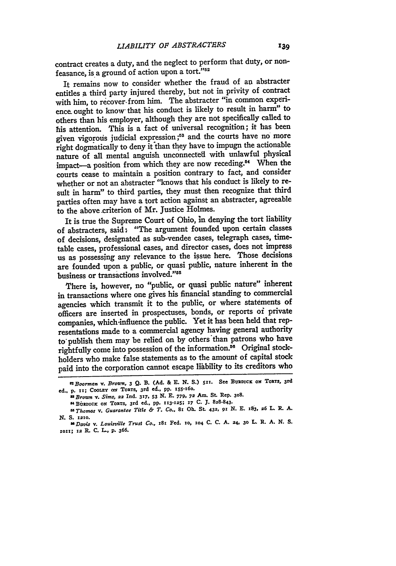contract creates a duty, and the neglect to perform that duty, or nonfeasance, is a ground of action upon a tort." $52$ 

It remains now to consider whether the fraud of an abstracter entitles a third party injured thereby, but not in privity of contract with him, to recover from him. The abstracter "in common experience. ought to know that his conduct is likely to result in harm" to others than his employer, although they are not specifically called to his attention. This is a fact of universal recognition; it has been given vigorous judicial expression ;53 and the courts have no more right dogmatically to deny it than they have to impugn the actionable nature of all mental anguish unconnected with unlawful physical impact-a position from which they are now receding.<sup>54</sup> When the courts cease to maintain a position contrary to fact, and consider whether or not an abstracter "knows that his conduct is likely to result in harm" to third parties, they must then recognize that third parties often may have a tort action against an abstracter, agreeable to the above .criterion of Mr. Justice Holmes.

It is true the Supreme Court of Ohio, in denying the tort liability of abstracters, said, "The argument founded upon certain classes of decisions, designated as sub-vendee cases, telegraph cases, timetable cases, professional cases, and director cases, does not impress us as possessing any relevance to the issue here. Those decisions are founded upon a public, or quasi public, nature inherent in the business or transactions involved."<sup>55</sup>

There is, however, no "public, or quasi public nature" inherent in transactions where one gives his financial standing to commercial agencies which transmit it to the public, or where statements of officers are inserted in prospectuses, bonds, or reports oi private companies, which-influence the public. Yet it has been held that representations made to a commercial agency having general authority to publish them may be relied on by others'than patrons who have rightfully come into possession of the information.<sup>56</sup> Original stockholders who make false statements as to the amount of capital stock paid into the corporation cannot escape liability to its creditors who

*uBrown v. Sims,* **22 Ind. 317, 53 N. E. 779, 72** *Am.* **St. Rep. 3o8.**

*<sup>&#</sup>x27;"Boorman v. Brown,* **<sup>3</sup>Q. B. (Ad. & E. N. S.) six. See BURDICK ox ToiTs, 3rd ed., p. xx;** CooL~y **cmx ToRTS, 3rd e&, pp. x55-x6o.**

 $*$  BURDICK ON TORTS, 3rd ed., pp. 113-125; 17 C. J. 828-843.

*<sup>&</sup>quot;Thoma v. Guarantee Title &* **T.** *Co..* **81 Oh. St. 432, 9z N. E.** *x83,* **26** *L.* **R. A. N. S. 1210.**

*<sup>&#</sup>x27;aDavis v. Lou.ville Trust Co., x8i* **Fed. 1o, 104 C. C. A.** *24,* **3o L. R. A. N. S. X01;** 12 **IL C. L.r, p. 366.**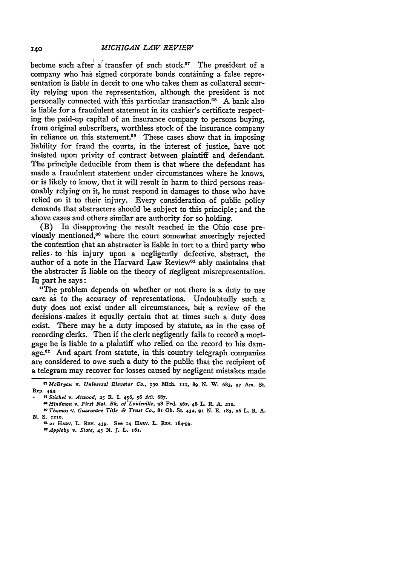become such after a transfer of such stock. $57$  The president of a company who has signed corporate bonds containing a false representation is liable in deceit to one who takes them as collateral security relying upon the representation, although the president is not personally connected with this particular transaction.<sup>58</sup> A bank also is liable for a fraudulent statement in its cashier's certificate respecting the paid-up capital of an insurance company to persons buying, from original subscribers, worthless stock of the insurance company in reliance on this statement.<sup>59</sup> These cases show that in imposing liability for fraud the courts, in the interest of justice, have not insisted upon privity of contract between plaintiff and defendant. The principle deducible from them is that where the defendant has made a fraudulent statement under circumstances where he knows, or is likely to know, that it will result in harm to third persons reasonably relying on it, he must respond in damages to those who have relied on it to their injury. Every consideration of public policy demands that abstracters should be subject to this principle; and the above cases and others similar are authority for so holding.

(B) In disapproving the result reached in the Ohio case previously mentioned,<sup>60</sup> where the court somewhat sneeringly rejected the contention that an abstracter is liable in tort to a third party who relies to his injury upon a negligently defective abstract, the author of a note in the Harvard Law Review<sup>61</sup> ably maintains that the abstracter is liable on the theory of negligent misrepresentation.

In part he says: "The problem depends on whether or not there is a duty to use care as to the accuracy of representations. Undoubtedly such a duty does not exist under all circumstances, but a review of the decisions makes it equally certain that at times such a duty does exist. There may be a duty imposed by statute, as in the case of recording clerks. Then if the clerk negligently fails to record a mortgage he is liable to a plaintiff who relied on the record to his damage.<sup>62</sup> And apart from statute, in this country telegraph companies are considered to owe such a duty to the public that the recipient of a telegram may recover for losses caused by negligent mistakes made

In *McBryan* **v.** *Universal Elevator Co.,* **i3o Mich. iiz, 89.** *N.* W. **683, 97 Am. St. Rep. 453.**

*<sup>33</sup>Stickel v. Atwood,* **25 R. I.** *456, S6* **At]. 687.**

*Hindman* **v.** *First Nat. Bk. of'Loui'ville,* **98 Fed. 562, 48 L. IL A. 21o.**

*Thomas-v.* **Guarantee Title** *& Trust Co., 8z* **Oh. St. 432, 91 N. E. 183, 26 L. IL A. N. S. 1210.**

<sup>&</sup>lt;sup>41</sup> 21 HARV. L. REV. 439. See 14 HARV. L. REV. 184-99.

*<sup>&</sup>quot;Appleby v. State,* **45 N. J. L. x6x.**